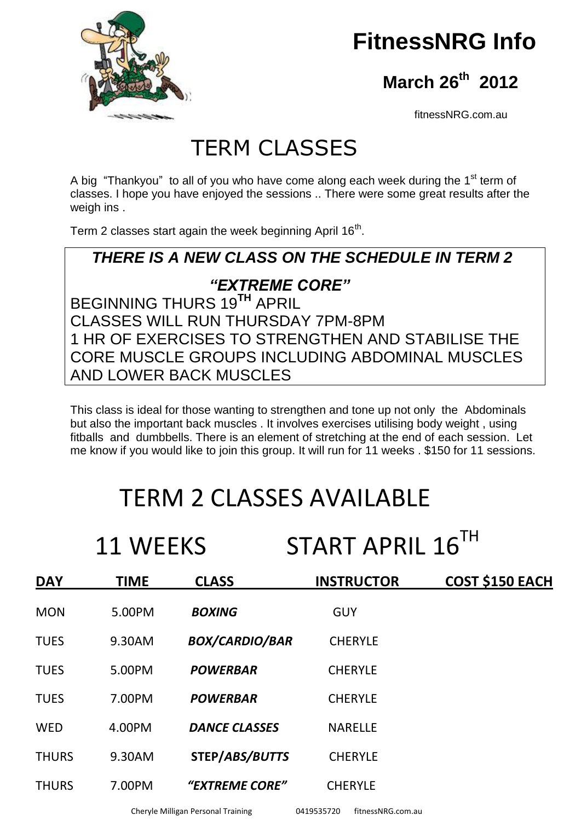

# **FitnessNRG Info**

 **March 26th 2012**

fitnessNRG.com.au

## TERM CLASSES

A big "Thankyou" to all of you who have come along each week during the  $1<sup>st</sup>$  term of classes. I hope you have enjoyed the sessions .. There were some great results after the weigh ins .

Term 2 classes start again the week beginning April 16<sup>th</sup>.

#### *THERE IS A NEW CLASS ON THE SCHEDULE IN TERM 2*

#### *"EXTREME CORE"*

BEGINNING THURS 19**TH** APRIL CLASSES WILL RUN THURSDAY 7PM-8PM 1 HR OF EXERCISES TO STRENGTHEN AND STABILISE THE CORE MUSCLE GROUPS INCLUDING ABDOMINAL MUSCLES AND LOWER BACK MUSCLES

This class is ideal for those wanting to strengthen and tone up not only the Abdominals but also the important back muscles . It involves exercises utilising body weight , using fitballs and dumbbells. There is an element of stretching at the end of each session. Let me know if you would like to join this group. It will run for 11 weeks . \$150 for 11 sessions.

# TERM 2 CLASSES AVAILABLE

11 WEEKS START APRIL 16<sup>TH</sup>

| <b>DAY</b>   | <b>TIME</b> | <b>CLASS</b>          | <b>INSTRUCTOR</b> | <b>COST \$150 EACH</b> |
|--------------|-------------|-----------------------|-------------------|------------------------|
| <b>MON</b>   | 5.00PM      | <b>BOXING</b>         | <b>GUY</b>        |                        |
| <b>TUES</b>  | 9.30AM      | <b>BOX/CARDIO/BAR</b> | <b>CHERYLE</b>    |                        |
| <b>TUES</b>  | 5.00PM      | <b>POWERBAR</b>       | <b>CHERYLE</b>    |                        |
| <b>TUES</b>  | 7.00PM      | <b>POWERBAR</b>       | <b>CHERYLE</b>    |                        |
| <b>WED</b>   | 4.00PM      | <b>DANCE CLASSES</b>  | <b>NARELLE</b>    |                        |
| <b>THURS</b> | 9.30AM      | STEP/ABS/BUTTS        | <b>CHERYLE</b>    |                        |
| <b>THURS</b> | 7.00PM      | "EXTREME CORE"        | <b>CHERYLE</b>    |                        |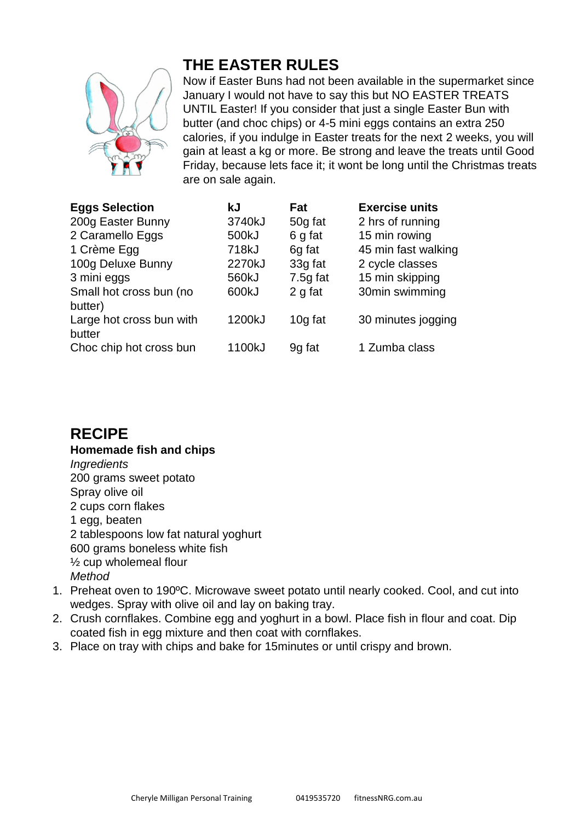

#### **THE EASTER RULES**

Now if Easter Buns had not been available in the supermarket since January I would not have to say this but NO EASTER TREATS UNTIL Easter! If you consider that just a single Easter Bun with butter (and choc chips) or 4-5 mini eggs contains an extra 250 calories, if you indulge in Easter treats for the next 2 weeks, you will gain at least a kg or more. Be strong and leave the treats until Good Friday, because lets face it; it wont be long until the Christmas treats are on sale again.

| <b>Eggs Selection</b>    | kJ     | Fat      | <b>Exercise units</b> |
|--------------------------|--------|----------|-----------------------|
| 200g Easter Bunny        | 3740kJ | 50g fat  | 2 hrs of running      |
| 2 Caramello Eggs         | 500kJ  | 6 g fat  | 15 min rowing         |
| 1 Crème Egg              | 718kJ  | 6g fat   | 45 min fast walking   |
| 100g Deluxe Bunny        | 2270kJ | 33g fat  | 2 cycle classes       |
| 3 mini eggs              | 560kJ  | 7.5g fat | 15 min skipping       |
| Small hot cross bun (no  | 600kJ  | 2 g fat  | 30min swimming        |
| butter)                  |        |          |                       |
| Large hot cross bun with | 1200kJ | 10g fat  | 30 minutes jogging    |
| butter                   |        |          |                       |
| Choc chip hot cross bun  | 1100kJ | 9g fat   | 1 Zumba class         |

#### **RECIPE**

**Homemade fish and chips** *Ingredients* 200 grams sweet potato Spray olive oil 2 cups corn flakes 1 egg, beaten 2 tablespoons low fat natural yoghurt 600 grams boneless white fish ½ cup wholemeal flour *Method*

- 1. Preheat oven to 190ºC. Microwave sweet potato until nearly cooked. Cool, and cut into wedges. Spray with olive oil and lay on baking tray.
- 2. Crush cornflakes. Combine egg and yoghurt in a bowl. Place fish in flour and coat. Dip coated fish in egg mixture and then coat with cornflakes.
- 3. Place on tray with chips and bake for 15minutes or until crispy and brown.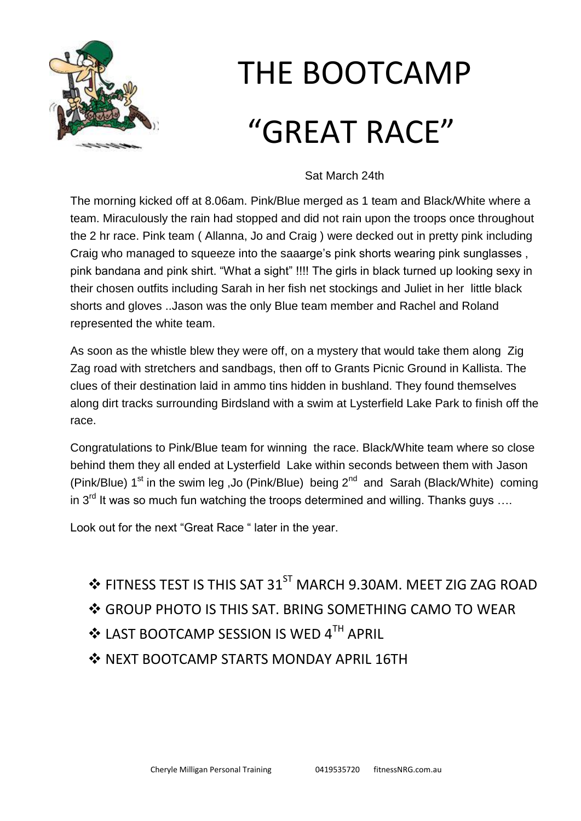

# THE BOOTCAMP "GREAT RACE"

## Sat March 24th

The morning kicked off at 8.06am. Pink/Blue merged as 1 team and Black/White where a team. Miraculously the rain had stopped and did not rain upon the troops once throughout the 2 hr race. Pink team ( Allanna, Jo and Craig ) were decked out in pretty pink including Craig who managed to squeeze into the saaarge's pink shorts wearing pink sunglasses. pink bandana and pink shirt. "What a sight" !!!! The girls in black turned up looking sexy in their chosen outfits including Sarah in her fish net stockings and Juliet in her little black shorts and gloves ..Jason was the only Blue team member and Rachel and Roland represented the white team.

As soon as the whistle blew they were off, on a mystery that would take them along Zig Zag road with stretchers and sandbags, then off to Grants Picnic Ground in Kallista. The clues of their destination laid in ammo tins hidden in bushland. They found themselves along dirt tracks surrounding Birdsland with a swim at Lysterfield Lake Park to finish off the race.

Congratulations to Pink/Blue team for winning the race. Black/White team where so close behind them they all ended at Lysterfield Lake within seconds between them with Jason (Pink/Blue)  $1^{st}$  in the swim leg, Jo (Pink/Blue) being  $2^{nd}$  and Sarah (Black/White) coming in  $3<sup>rd</sup>$  It was so much fun watching the troops determined and willing. Thanks guys ....

Look out for the next "Great Race " later in the year.

- ❖ FITNESS TEST IS THIS SAT 31<sup>ST</sup> MARCH 9.30AM. MEET ZIG ZAG ROAD
- ❖ GROUP PHOTO IS THIS SAT. BRING SOMETHING CAMO TO WEAR
- ◆ LAST BOOTCAMP SESSION IS WED 4TH APRIL
- **S** NEXT BOOTCAMP STARTS MONDAY APRIL 16TH